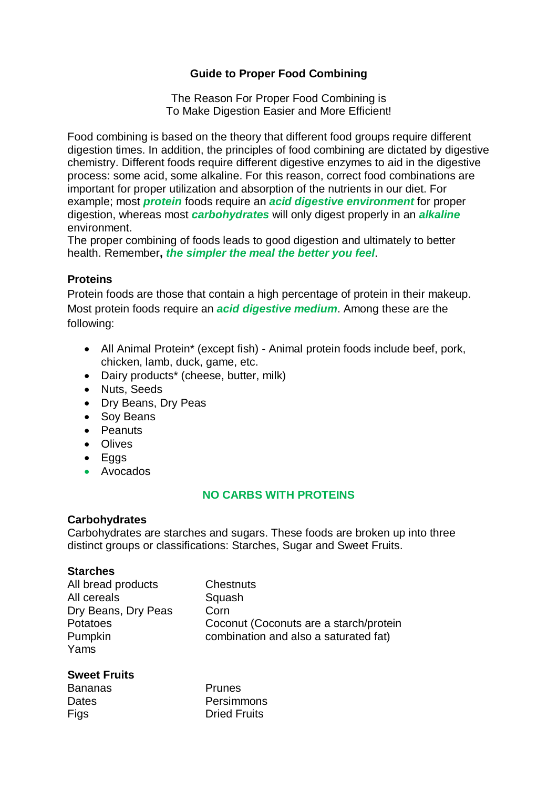# **Guide to Proper Food Combining**

The Reason For Proper Food Combining is To Make Digestion Easier and More Efficient!

Food combining is based on the theory that different food groups require different digestion times. In addition, the principles of food combining are dictated by digestive chemistry. Different foods require different digestive enzymes to aid in the digestive process: some acid, some alkaline. For this reason, correct food combinations are important for proper utilization and absorption of the nutrients in our diet. For example; most *protein* foods require an *acid digestive environment* for proper digestion, whereas most *carbohydrates* will only digest properly in an *alkaline*  environment.

The proper combining of foods leads to good digestion and ultimately to better health. Remember**,** *the simpler the meal the better you feel*.

## **Proteins**

Protein foods are those that contain a high percentage of protein in their makeup. Most protein foods require an *acid digestive medium*. Among these are the following:

- All Animal Protein\* (except fish) Animal protein foods include beef, pork, chicken, lamb, duck, game, etc.
- Dairy products<sup>\*</sup> (cheese, butter, milk)
- Nuts, Seeds
- Dry Beans, Dry Peas
- Soy Beans
- Peanuts
- Olives
- Eggs
- Avocados

# **NO CARBS WITH PROTEINS**

### **Carbohydrates**

Carbohydrates are starches and sugars. These foods are broken up into three distinct groups or classifications: Starches, Sugar and Sweet Fruits.

### **Starches**

| All bread products  | <b>Chestnuts</b>                       |
|---------------------|----------------------------------------|
| All cereals         | Squash                                 |
| Dry Beans, Dry Peas | Corn                                   |
| <b>Potatoes</b>     | Coconut (Coconuts are a starch/protein |
| Pumpkin             | combination and also a saturated fat)  |
| Yams                |                                        |

#### **Sweet Fruits**

| <b>Bananas</b> | <b>Prunes</b>       |
|----------------|---------------------|
| Dates          | Persimmons          |
| Figs           | <b>Dried Fruits</b> |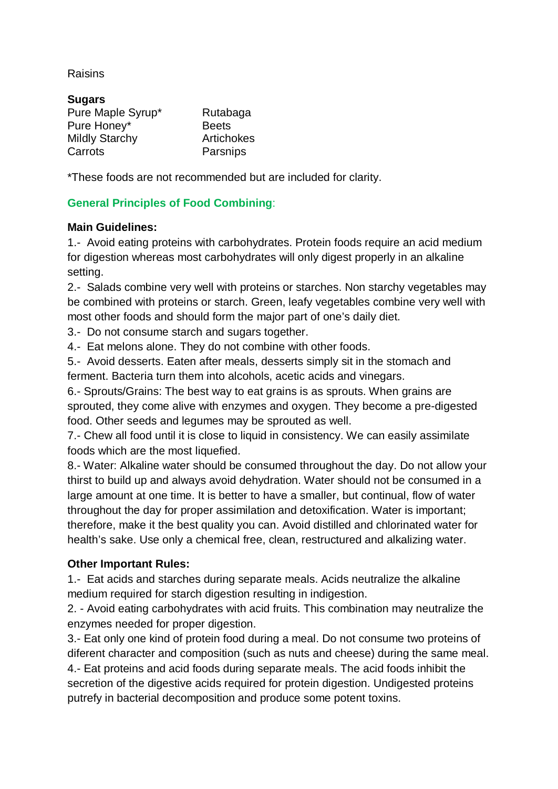## Raisins

| <b>Sugars</b>         |              |
|-----------------------|--------------|
| Pure Maple Syrup*     | Rutabaga     |
| Pure Honey*           | <b>Beets</b> |
| <b>Mildly Starchy</b> | Artichokes   |
| Carrots               | Parsnips     |

\*These foods are not recommended but are included for clarity.

# **General Principles of Food Combining**:

## **Main Guidelines:**

1.- Avoid eating proteins with carbohydrates. Protein foods require an acid medium for digestion whereas most carbohydrates will only digest properly in an alkaline setting.

2.- Salads combine very well with proteins or starches. Non starchy vegetables may be combined with proteins or starch. Green, leafy vegetables combine very well with most other foods and should form the major part of one's daily diet.

3.- Do not consume starch and sugars together.

4.- Eat melons alone. They do not combine with other foods.

5.- Avoid desserts. Eaten after meals, desserts simply sit in the stomach and ferment. Bacteria turn them into alcohols, acetic acids and vinegars.

6.- Sprouts/Grains: The best way to eat grains is as sprouts. When grains are sprouted, they come alive with enzymes and oxygen. They become a pre-digested food. Other seeds and legumes may be sprouted as well.

7.- Chew all food until it is close to liquid in consistency. We can easily assimilate foods which are the most liquefied.

8.- Water: Alkaline water should be consumed throughout the day. Do not allow your thirst to build up and always avoid dehydration. Water should not be consumed in a large amount at one time. It is better to have a smaller, but continual, flow of water throughout the day for proper assimilation and detoxification. Water is important; therefore, make it the best quality you can. Avoid distilled and chlorinated water for health's sake. Use only a chemical free, clean, restructured and alkalizing water.

# **Other Important Rules:**

1.- Eat acids and starches during separate meals. Acids neutralize the alkaline medium required for starch digestion resulting in indigestion.

2. - Avoid eating carbohydrates with acid fruits. This combination may neutralize the enzymes needed for proper digestion.

3.- Eat only one kind of protein food during a meal. Do not consume two proteins of diferent character and composition (such as nuts and cheese) during the same meal. 4.- Eat proteins and acid foods during separate meals. The acid foods inhibit the secretion of the digestive acids required for protein digestion. Undigested proteins putrefy in bacterial decomposition and produce some potent toxins.